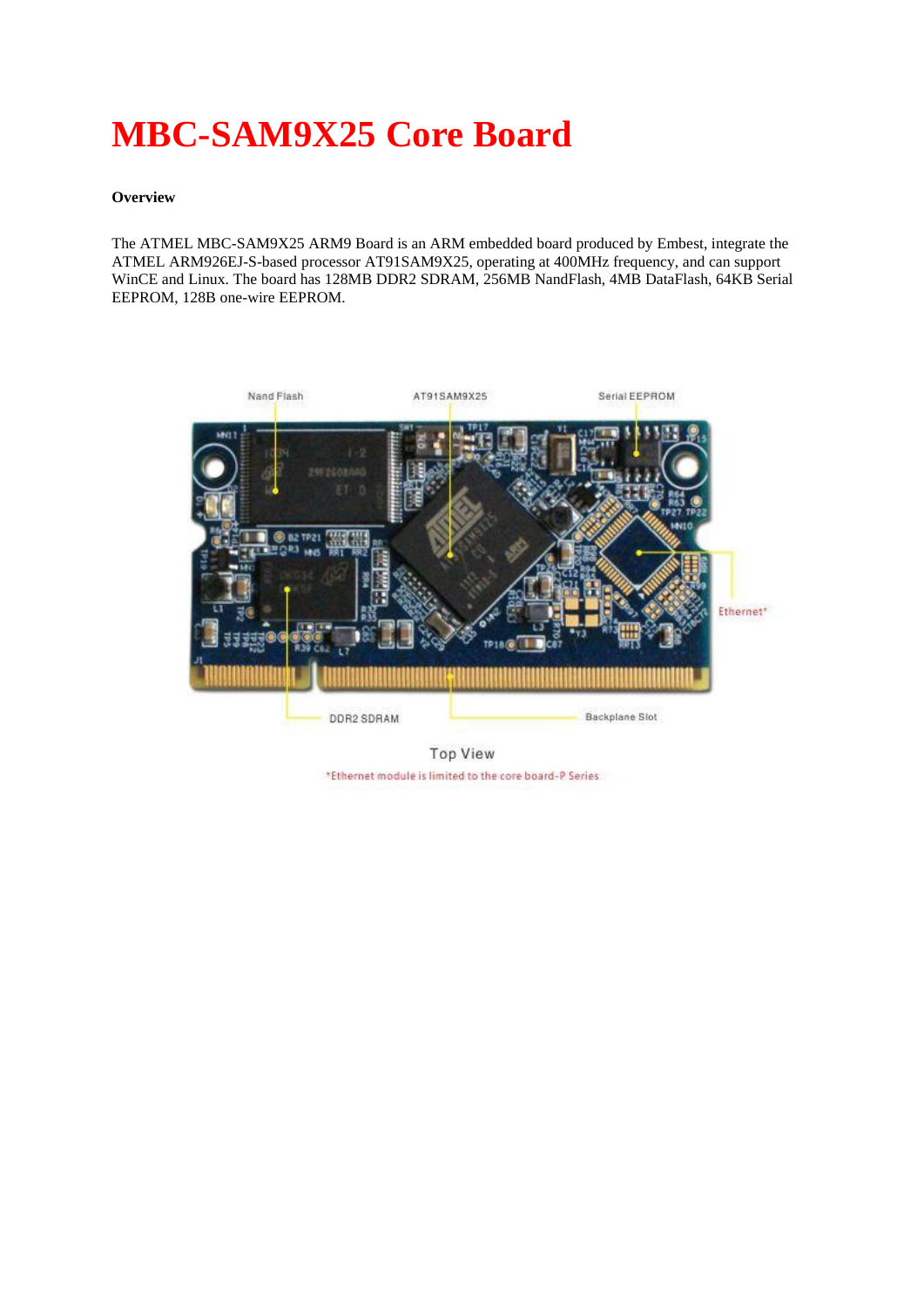# **MBC-SAM9X25 Core Board**

## **Overview**

The ATMEL MBC-SAM9X25 ARM9 Board is an ARM embedded board produced by Embest, integrate the ATMEL ARM926EJ-S-based processor AT91SAM9X25, operating at 400MHz frequency, and can support WinCE and Linux. The board has 128MB DDR2 SDRAM, 256MB NandFlash, 4MB DataFlash, 64KB Serial EEPROM, 128B one-wire EEPROM.



**Top View** \*Ethernet module is limited to the core board-P Series.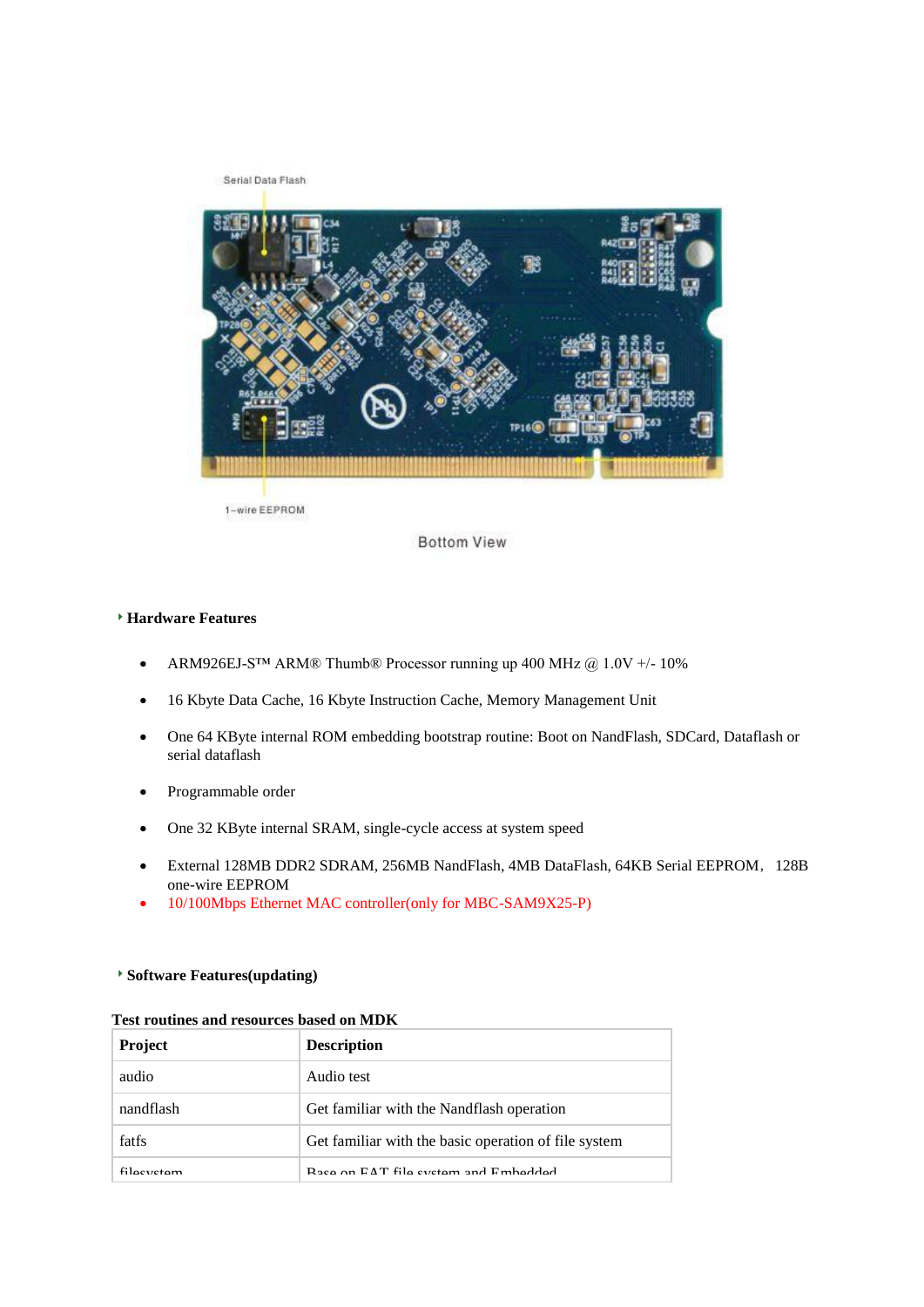Serial Data Flash



1-wire EEPROM

**Bottom View** 

#### **Hardware Features**

- ARM926EJ-S™ ARM® Thumb® Processor running up 400 MHz @ 1.0V +/- 10%
- 16 Kbyte Data Cache, 16 Kbyte Instruction Cache, Memory Management Unit
- One 64 KByte internal ROM embedding bootstrap routine: Boot on NandFlash, SDCard, Dataflash or serial dataflash
- Programmable order
- One 32 KByte internal SRAM, single-cycle access at system speed
- External 128MB DDR2 SDRAM, 256MB NandFlash, 4MB DataFlash, 64KB Serial EEPROM, 128B one-wire EEPROM
- 10/100Mbps Ethernet MAC controller(only for MBC-SAM9X25-P)

## **Software Features(updating)**

#### **Test routines and resources based on MDK**

| <b>Project</b> | <b>Description</b>                                   |
|----------------|------------------------------------------------------|
| audio          | Audio test                                           |
| nandflash      | Get familiar with the Nandflash operation            |
| fatfs          | Get familiar with the basic operation of file system |
| filacyctam     | Base on EAT file system and Embedded                 |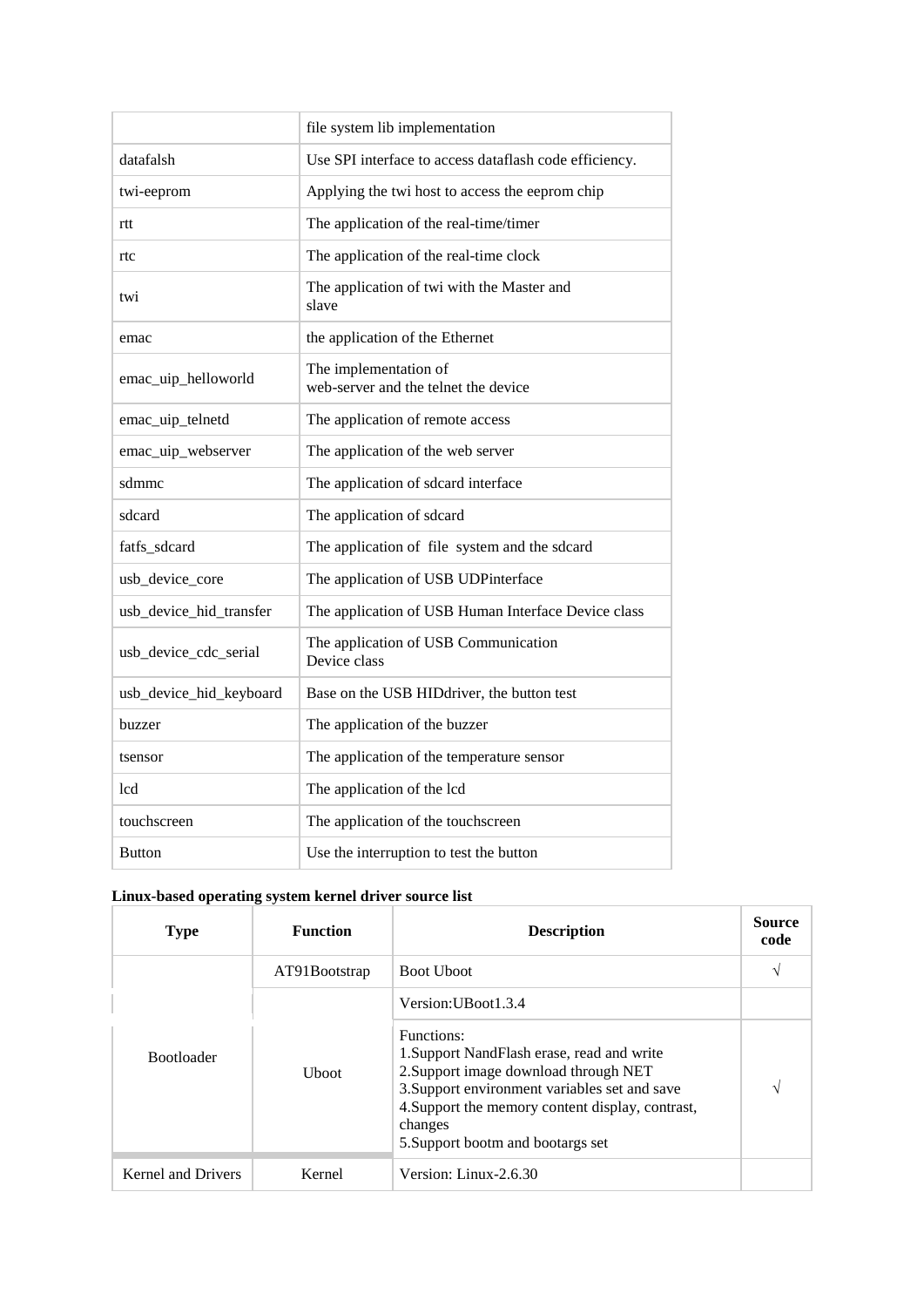|                         | file system lib implementation                                |
|-------------------------|---------------------------------------------------------------|
| datafalsh               | Use SPI interface to access dataflash code efficiency.        |
| twi-eeprom              | Applying the twi host to access the eeprom chip               |
| rtt                     | The application of the real-time/timer                        |
| rtc                     | The application of the real-time clock                        |
| twi                     | The application of twi with the Master and<br>slave           |
| emac                    | the application of the Ethernet                               |
| emac_uip_helloworld     | The implementation of<br>web-server and the telnet the device |
| emac_uip_telnetd        | The application of remote access                              |
| emac_uip_webserver      | The application of the web server                             |
| sdmmc                   | The application of sdcard interface                           |
| sdcard                  | The application of sdcard                                     |
| fatfs_sdcard            | The application of file system and the sdcard                 |
| usb_device_core         | The application of USB UDPinterface                           |
| usb_device_hid_transfer | The application of USB Human Interface Device class           |
| usb_device_cdc_serial   | The application of USB Communication<br>Device class          |
| usb_device_hid_keyboard | Base on the USB HIDdriver, the button test                    |
| buzzer                  | The application of the buzzer                                 |
| tsensor                 | The application of the temperature sensor                     |
| lcd                     | The application of the lcd                                    |
| touchscreen             | The application of the touchscreen                            |
| <b>Button</b>           | Use the interruption to test the button                       |

# **Linux-based operating system kernel driver source list**

| <b>Type</b>                            | <b>Function</b> | <b>Description</b>                                                                                                                                                                                                                                     | <b>Source</b><br>code |
|----------------------------------------|-----------------|--------------------------------------------------------------------------------------------------------------------------------------------------------------------------------------------------------------------------------------------------------|-----------------------|
|                                        | AT91Bootstrap   | <b>Boot Uboot</b>                                                                                                                                                                                                                                      | ٦                     |
|                                        |                 | Version: UBoot 1.3.4                                                                                                                                                                                                                                   |                       |
| <b>Bootloader</b><br>U <sub>boot</sub> |                 | Functions:<br>1. Support NandFlash erase, read and write<br>2. Support image download through NET<br>3. Support environment variables set and save<br>4. Support the memory content display, contrast,<br>changes<br>5. Support bootm and bootargs set | N                     |
| Kernel and Drivers                     | Kernel          | Version: Linux-2.6.30                                                                                                                                                                                                                                  |                       |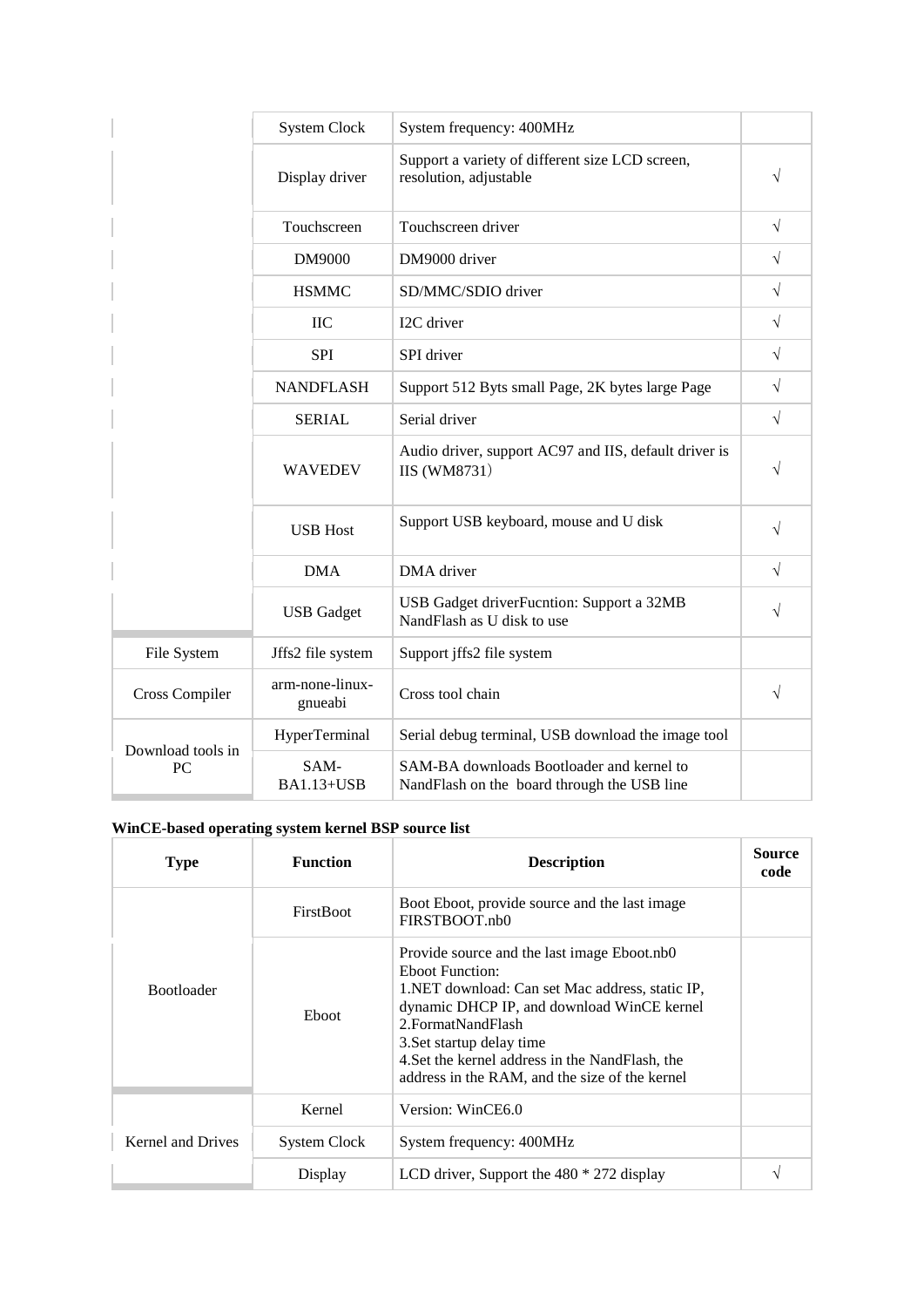|                   | <b>System Clock</b>        | System frequency: 400MHz                                                                 |           |
|-------------------|----------------------------|------------------------------------------------------------------------------------------|-----------|
|                   | Display driver             | Support a variety of different size LCD screen,<br>resolution, adjustable                | $\sqrt{}$ |
|                   | Touchscreen                | Touchscreen driver                                                                       | $\sqrt{}$ |
|                   | DM9000                     | DM9000 driver                                                                            | $\sqrt{}$ |
|                   | <b>HSMMC</b>               | SD/MMC/SDIO driver                                                                       | $\sqrt{}$ |
|                   | $\overline{C}$             | I2C driver                                                                               | $\sqrt{}$ |
|                   | <b>SPI</b>                 | SPI driver                                                                               | $\sqrt{}$ |
|                   | <b>NANDFLASH</b>           | Support 512 Byts small Page, 2K bytes large Page                                         | $\sqrt{}$ |
|                   | <b>SERIAL</b>              | Serial driver                                                                            | $\sqrt{}$ |
|                   | <b>WAVEDEV</b>             | Audio driver, support AC97 and IIS, default driver is<br><b>IIS</b> (WM8731)             | $\sqrt{}$ |
|                   | <b>USB Host</b>            | Support USB keyboard, mouse and U disk                                                   | $\sqrt{}$ |
|                   | <b>DMA</b>                 | DMA driver                                                                               | $\sqrt{}$ |
|                   | <b>USB</b> Gadget          | USB Gadget driverFucntion: Support a 32MB<br>NandFlash as U disk to use                  | $\sqrt{}$ |
| File System       | Jffs2 file system          | Support jffs2 file system                                                                |           |
| Cross Compiler    | arm-none-linux-<br>gnueabi | Cross tool chain                                                                         | $\sqrt{}$ |
| Download tools in | HyperTerminal              | Serial debug terminal, USB download the image tool                                       |           |
| PC                | SAM-<br><b>BA1.13+USB</b>  | SAM-BA downloads Bootloader and kernel to<br>NandFlash on the board through the USB line |           |

## **WinCE-based operating system kernel BSP source list**

| <b>Type</b>       | <b>Function</b>  | <b>Description</b>                                                                                                                                                                                                                                                                                                                | Source<br>code |
|-------------------|------------------|-----------------------------------------------------------------------------------------------------------------------------------------------------------------------------------------------------------------------------------------------------------------------------------------------------------------------------------|----------------|
|                   | <b>FirstBoot</b> | Boot Eboot, provide source and the last image<br>FIRSTBOOT.nb0                                                                                                                                                                                                                                                                    |                |
| <b>Bootloader</b> | Eboot            | Provide source and the last image Eboot.nb0<br><b>Eboot Function:</b><br>1. NET download: Can set Mac address, static IP,<br>dynamic DHCP IP, and download WinCE kernel<br>2. Format Nand Flash<br>3. Set startup delay time<br>4. Set the kernel address in the NandFlash, the<br>address in the RAM, and the size of the kernel |                |
|                   | Kernel           | Version: WinCE6.0                                                                                                                                                                                                                                                                                                                 |                |
| Kernel and Drives | System Clock     | System frequency: 400MHz                                                                                                                                                                                                                                                                                                          |                |
|                   | Display          | LCD driver, Support the $480 * 272$ display                                                                                                                                                                                                                                                                                       | ٦              |